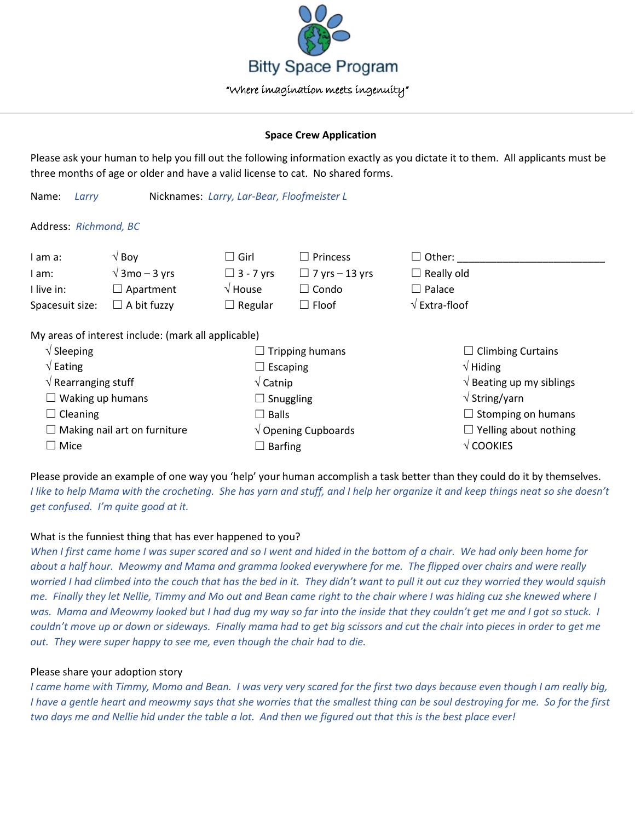

## **Space Crew Application**

Please ask your human to help you fill out the following information exactly as you dictate it to them. All applicants must be three months of age or older and have a valid license to cat. No shared forms.

Name: *Larry* Nicknames: *Larry, Lar-Bear, Floofmeister L*

Address: *Richmond, BC*

| I am a:                                             | $\sqrt{8}$ Boy        | $\Box$ Girl              | $\Box$ Princess       | $\square$ Other:                           |
|-----------------------------------------------------|-----------------------|--------------------------|-----------------------|--------------------------------------------|
| l am:                                               | $\sqrt{3}$ mo – 3 yrs | $\Box$ 3 - 7 yrs         | $\Box$ 7 yrs – 13 yrs | $\Box$ Really old                          |
| I live in:                                          | $\Box$ Apartment      | $\sqrt{2}$ House         | $\Box$ Condo          | $\Box$ Palace                              |
| Spacesuit size:                                     | $\Box$ A bit fuzzy    | $\Box$ Regular           | $\Box$ Floof          | $\sqrt{\mathsf{Extra}\cdot\mathsf{floor}}$ |
| My areas of interest include: (mark all applicable) |                       |                          |                       |                                            |
| $\sqrt{\phantom{a}}$ Sleeping                       |                       | $\Box$ Tripping humans   |                       | $\Box$ Climbing Curtains                   |
| $\sqrt{\mathsf{Eating}}$                            |                       | $\Box$ Escaping          |                       | $\sqrt{}$ Hiding                           |
| $\sqrt{ }$ Rearranging stuff                        |                       | $\sqrt{\mathsf{Catnip}}$ |                       | $\sqrt{ }$ Beating up my siblings          |
| $\Box$ Waking up humans                             |                       | $\Box$ Snuggling         |                       | $\sqrt{\mathsf{String}/\mathsf{yarn}}$     |
| $\Box$ Cleaning                                     |                       | Balls                    |                       | $\Box$ Stomping on humans                  |

 $\Box$  Stomping on humans  $\Box$  Yelling about nothing √ COOKIES

Please provide an example of one way you 'help' your human accomplish a task better than they could do it by themselves. *I like to help Mama with the crocheting. She has yarn and stuff, and I help her organize it and keep things neat so she doesn't get confused. I'm quite good at it.*

√ Opening Cupboards

 $\Box$  Barfing

# What is the funniest thing that has ever happened to you?

*When I first came home I was super scared and so I went and hided in the bottom of a chair. We had only been home for about a half hour. Meowmy and Mama and gramma looked everywhere for me. The flipped over chairs and were really worried I had climbed into the couch that has the bed in it. They didn't want to pull it out cuz they worried they would squish me. Finally they let Nellie, Timmy and Mo out and Bean came right to the chair where I was hiding cuz she knewed where I was. Mama and Meowmy looked but I had dug my way so far into the inside that they couldn't get me and I got so stuck. I couldn't move up or down or sideways. Finally mama had to get big scissors and cut the chair into pieces in order to get me out. They were super happy to see me, even though the chair had to die.*

## Please share your adoption story

 $\Box$  Making nail art on furniture

☐ Mice

*I came home with Timmy, Momo and Bean. I was very very scared for the first two days because even though I am really big, I have a gentle heart and meowmy says that she worries that the smallest thing can be soul destroying for me. So for the first two days me and Nellie hid under the table a lot. And then we figured out that this is the best place ever!*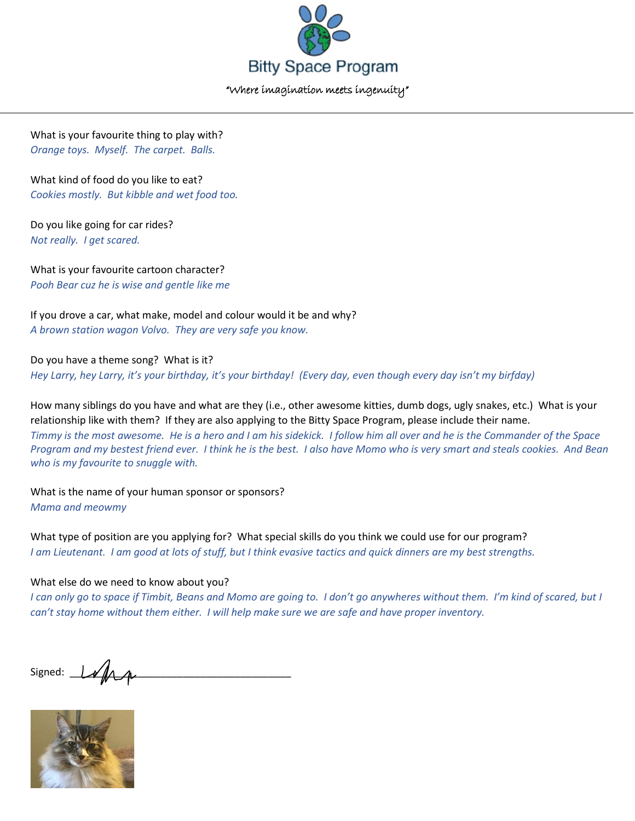

What is your favourite thing to play with? *Orange toys. Myself. The carpet. Balls.*

What kind of food do you like to eat? *Cookies mostly. But kibble and wet food too.*

Do you like going for car rides? *Not really. I get scared.*

What is your favourite cartoon character? *Pooh Bear cuz he is wise and gentle like me*

If you drove a car, what make, model and colour would it be and why? *A brown station wagon Volvo. They are very safe you know.*

Do you have a theme song? What is it? *Hey Larry, hey Larry, it's your birthday, it's your birthday! (Every day, even though every day isn't my birfday)*

How many siblings do you have and what are they (i.e., other awesome kitties, dumb dogs, ugly snakes, etc.) What is your relationship like with them? If they are also applying to the Bitty Space Program, please include their name. *Timmy is the most awesome. He is a hero and I am his sidekick. I follow him all over and he is the Commander of the Space Program and my bestest friend ever. I think he is the best. I also have Momo who is very smart and steals cookies. And Bean who is my favourite to snuggle with.*

What is the name of your human sponsor or sponsors? *Mama and meowmy*

What type of position are you applying for? What special skills do you think we could use for our program? *I am Lieutenant. I am good at lots of stuff, but I think evasive tactics and quick dinners are my best strengths.*

# What else do we need to know about you?

*I can only go to space if Timbit, Beans and Momo are going to. I don't go anywheres without them. I'm kind of scared, but I can't stay home without them either. I will help make sure we are safe and have proper inventory.*

Signed: \_\_\_\_\_\_\_\_\_\_\_\_\_\_\_\_\_\_\_\_\_\_\_\_\_\_\_\_\_\_\_\_\_\_\_\_\_\_\_